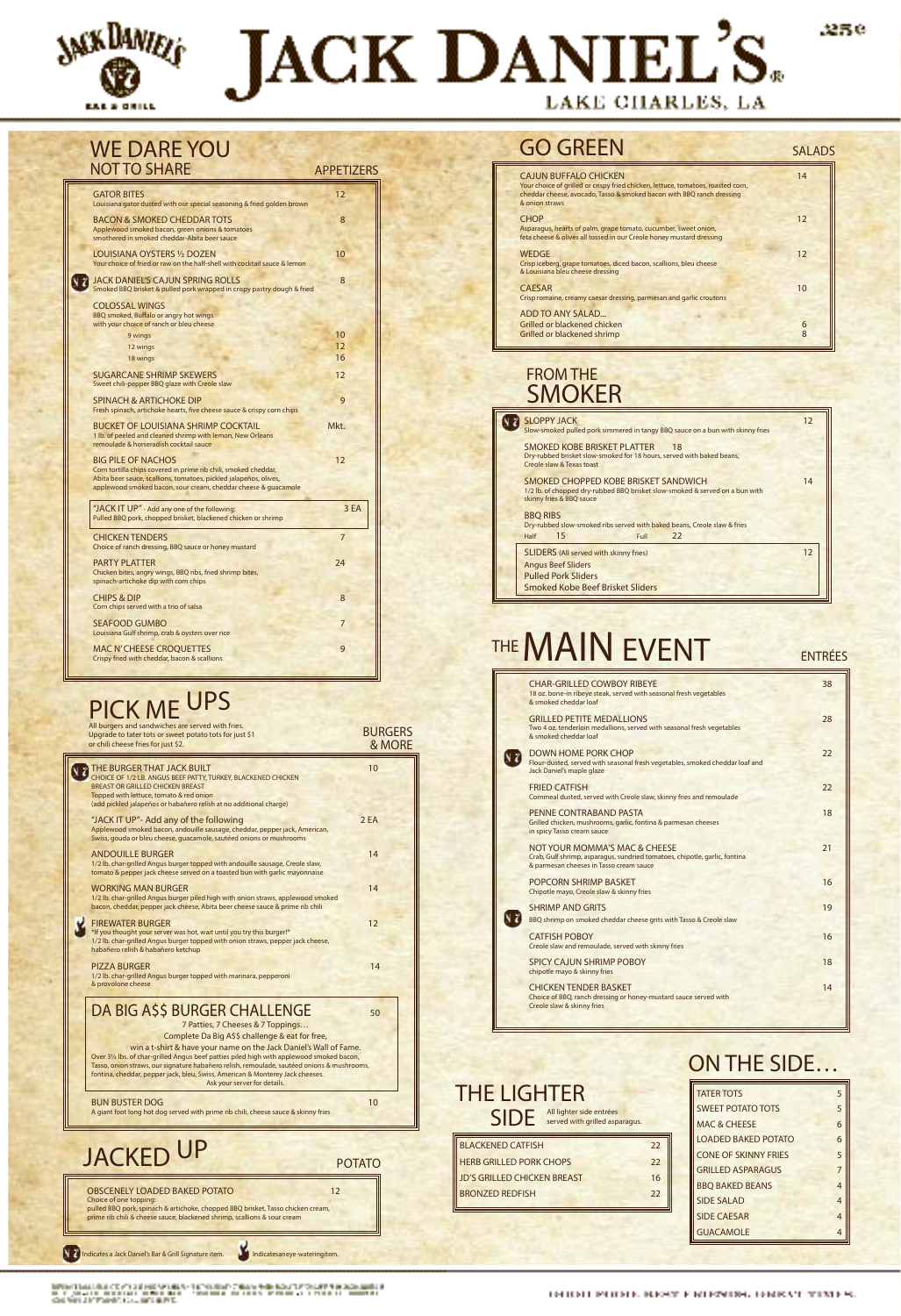

N

# JACK DANIEL'S. LAKE CHARLES, LA

| <b>GATOR BITES</b><br>Louisiana gator dusted with our special seasoning & fried golden brown                                                                                                                                        | 12   |
|-------------------------------------------------------------------------------------------------------------------------------------------------------------------------------------------------------------------------------------|------|
| BACON & SMOKED CHEDDAR TOTS<br>Applewood smoked bacon, green onions & tomatoes<br>smothered in smoked cheddar-Abita beer sauce                                                                                                      | 8    |
| LOUISIANA OYSTERS 1/2 DOZEN<br>Your choice of fried or raw on the half-shell with cocktail sauce & lemon                                                                                                                            | 10   |
| JACK DANIEL'S CAJUN SPRING ROLLS<br>Smoked BBQ brisket & pulled pork wrapped in crispy pastry dough & fried                                                                                                                         | 8    |
| <b>COLOSSAL WINGS</b><br>BBQ smoked, Buffalo or angry hot wings<br>with your choice of ranch or bleu cheese                                                                                                                         |      |
| 9 wings                                                                                                                                                                                                                             | 10   |
|                                                                                                                                                                                                                                     | 12   |
| 12 wings                                                                                                                                                                                                                            |      |
| 18 wings                                                                                                                                                                                                                            | 16   |
| <b>SUGARCANE SHRIMP SKEWERS</b><br>Sweet chili-pepper BBQ glaze with Creole slaw                                                                                                                                                    | 12   |
| <b>SPINACH &amp; ARTICHOKE DIP</b><br>Fresh spinach, artichoke hearts, five cheese sauce & crispy corn chips                                                                                                                        | 9    |
| BUCKET OF LOUISIANA SHRIMP COCKTAIL                                                                                                                                                                                                 | Mkt. |
| 1 lb. of peeled and cleaned shrimp with lemon, New Orleans<br>remoulade & horseradish cocktail sauce                                                                                                                                |      |
| <b>BIG PILE OF NACHOS</b><br>Corn tortilla chips covered in prime rib chili, smoked cheddar,<br>Abita beer sauce, scallions, tomatoes, pickled jalapeños, olives,<br>applewood smoked bacon, sour cream, cheddar cheese & quacamole | 12   |
| "JACK IT UP" - Add any one of the following:<br>Pulled BBQ pork, chopped brisket, blackened chicken or shrimp                                                                                                                       | 3 EA |
| <b>CHICKEN TENDERS</b><br>Choice of ranch dressing, BBQ sauce or honey mustard                                                                                                                                                      | 7    |
| <b>PARTY PLATTER</b><br>Chicken bites, angry wings, BBQ ribs, fried shrimp bites,<br>spinach-artichoke dip with corn chips                                                                                                          | 24   |
| <b>CHIPS &amp; DIP</b><br>Corn chips served with a trio of salsa                                                                                                                                                                    | 8    |
| <b>SEAFOOD GUMBO</b><br>Louisiana Gulf shrimp, crab & oysters over rice                                                                                                                                                             | 7    |

#### WE DARE YOU NOT TO SHARE APPETIZERS

| All burgers and sandwiches are served with fries.<br>Upgrade to tater tots or sweet potato tots for just \$1<br>or chili cheese fries for just \$2.                                                                                                     | <b>BURGERS</b><br>& MORE |
|---------------------------------------------------------------------------------------------------------------------------------------------------------------------------------------------------------------------------------------------------------|--------------------------|
| THE BURGER THAT JACK BUILT<br>CHOICE OF 1/2 LB. ANGUS BEEF PATTY, TURKEY, BLACKENED CHICKEN<br><b>BREAST OR GRILLED CHICKEN BREAST</b><br>Topped with lettuce, tomato & red onion<br>(add pickled jalapeños or habañero relish at no additional charge) | 10                       |
| "JACK IT UP"- Add any of the following<br>Applewood smoked bacon, andouille sausage, cheddar, pepper jack, American,<br>Swiss, gouda or bleu cheese, guacamole, sautéed onions or mushrooms                                                             | 2 FA                     |
| <b>ANDOUILLE BURGER</b>                                                                                                                                                                                                                                 | 14                       |

1/2 lb. char-grilled Angus burger topped with andouille sausage, Creole slaw

#### GO GREEN SALADS

| <b>CAJUN BUFFALO CHICKEN</b><br>Your choice of grilled or crispy fried chicken, lettuce, tomatoes, roasted corn,<br>cheddar cheese, avocado, Tasso & smoked bacon with BBQ ranch dressing<br>& onion straws | 14              |
|-------------------------------------------------------------------------------------------------------------------------------------------------------------------------------------------------------------|-----------------|
| <b>CHOP</b><br>Asparagus, hearts of palm, grape tomato, cucumber, sweet onion,<br>feta cheese & olives all tossed in our Creole honey mustard dressing                                                      | 12              |
| <b>WEDGE</b><br>Crisp iceberg, grape tomatoes, diced bacon, scallions, bleu cheese<br>& Louisiana bleu cheese dressing                                                                                      | 12              |
| <b>CAESAR</b><br>Crisp romaine, creamy caesar dressing, parmesan and garlic croutons                                                                                                                        | 10 <sup>2</sup> |
| ADD TO ANY SALAD<br>Grilled or blackened chicken<br>Grilled or blackened shrimp                                                                                                                             | 6<br>8          |

| <b>SLOPPY JACK</b><br>Slow-smoked pulled pork simmered in tangy BBQ sauce on a bun with skinny fries                                             | 12 |
|--------------------------------------------------------------------------------------------------------------------------------------------------|----|
| SMOKED KOBE BRISKET PLATTER<br>18<br>Dry-rubbed brisket slow-smoked for 18 hours, served with baked beans,<br>Creole slaw & Texas toast          |    |
| SMOKED CHOPPED KOBE BRISKET SANDWICH<br>1/2 lb. of chopped dry-rubbed BBQ brisket slow-smoked & served on a bun with<br>skinny fries & BBQ sauce | 14 |
| <b>BBO RIBS</b><br>Dry-rubbed slow-smoked ribs served with baked beans, Creole slaw & fries<br>15<br>22<br>Half<br>Full                          |    |
| <b>SLIDERS</b> (All served with skinny fries)<br><b>Angus Beef Sliders</b><br><b>Pulled Pork Sliders</b><br>Smoked Kobe Beef Brisket Sliders     | 12 |

# THE MAIN EVENT

Q.

#### FROM THE SMOKER

### PICK ME UPS

| 1/2 lb. char-grilled Angus burger topped with andouille sausage, Creole slaw,<br>tomato & pepper jack cheese served on a toasted bun with garlic mayonnaise<br><b>WORKING MAN BURGER</b><br>14<br>1/2 lb. char-grilled Angus burger piled high with onion straws, applewood smoked<br>bacon, cheddar, pepper jack cheese, Abita beer cheese sauce & prime rib chili<br><b>FIREWATER BURGER</b><br>12<br>*If you thought your server was hot, wait until you try this burger!*<br>1/2 lb. char-grilled Angus burger topped with onion straws, pepper jack cheese,<br>habañero relish & habañero ketchup<br>14<br><b>PIZZA BURGER</b><br>1/2 lb. char-grilled Angus burger topped with marinara, pepperoni<br>& provolone cheese | & parmesan cheeses in Tasso cream sauce<br><b>POPCORN SHRIMP BASKET</b><br>Chipotle mayo, Creole slaw & skinny fries<br><b>SHRIMP AND GRITS</b><br>SZ.<br>BBQ shrimp on smoked cheddar cheese grits with Tasso & Creole slaw<br><b>CATFISH POBOY</b><br>Creole slaw and remoulade, served with skinny fries<br><b>SPICY CAJUN SHRIMP POBOY</b><br>chipotle mayo & skinny fries<br><b>CHICKEN TENDER BASKET</b><br>Choice of BBQ, ranch dressing or honey-mustard sauce served with<br>Creole slaw & skinny fries | 16<br>19<br>16<br>18<br>14 |
|--------------------------------------------------------------------------------------------------------------------------------------------------------------------------------------------------------------------------------------------------------------------------------------------------------------------------------------------------------------------------------------------------------------------------------------------------------------------------------------------------------------------------------------------------------------------------------------------------------------------------------------------------------------------------------------------------------------------------------|------------------------------------------------------------------------------------------------------------------------------------------------------------------------------------------------------------------------------------------------------------------------------------------------------------------------------------------------------------------------------------------------------------------------------------------------------------------------------------------------------------------|----------------------------|
| DA BIG ASS BURGER CHALLENGE<br>50<br>7 Patties, 7 Cheeses & 7 Toppings<br>Complete Da Big A\$\$ challenge & eat for free,<br>win a t-shirt & have your name on the Jack Daniel's Wall of Fame.<br>Over 31/2 lbs. of char-grilled Angus beef patties piled high with applewood smoked bacon,<br>Tasso, onion straws, our signature habañero relish, remoulade, sautéed onions & mushrooms,<br>fontina, cheddar, pepper jack, bleu, Swiss, American & Monterey Jack cheeses.<br>Ask your server for details.<br><b>BUN BUSTER DOG</b><br>10<br>A giant foot long hot dog served with prime rib chili, cheese sauce & skinny fries                                                                                                | <b>ON THE SIDE</b><br><b>THE LIGHTER</b><br><b>TATER TOTS</b><br><b>SWEET POTATO TOTS</b><br>SIDE All lighter side entrées<br><b>MAC &amp; CHEESE</b>                                                                                                                                                                                                                                                                                                                                                            |                            |
| <b>JACKED UP</b><br><b>POTATO</b><br><b>OBSCENELY LOADED BAKED POTATO</b><br>12<br>Choice of one topping:<br>pulled BBQ pork, spinach & artichoke, chopped BBQ brisket, Tasso chicken cream,<br>prime rib chili & cheese sauce, blackened shrimp, scallions & sour cream<br>ndicates a Jack Daniel's Bar & Grill Signature item.<br>Indicatesaneye-wateringitem.                                                                                                                                                                                                                                                                                                                                                               | <b>LOADED BAKED POTATO</b><br><b>BLACKENED CATFISH</b><br>22<br><b>CONE OF SKINNY FRIES</b><br><b>HERB GRILLED PORK CHOPS</b><br>22<br><b>GRILLED ASPARAGUS</b><br><b>JD'S GRILLED CHICKEN BREAST</b><br>16<br><b>BBQ BAKED BEANS</b><br><b>BRONZED REDFISH</b><br>22<br><b>SIDE SALAD</b><br><b>SIDE CAESAR</b><br><b>GUACAMOLE</b>                                                                                                                                                                             |                            |

BERBAT I MALLARDI C'E ATA DISTANTA NA MENA FISITARIA PATRIMA PARA RAMA TA PORME PISA DI CAMBINI DI SI<br>NELL'ARCHITETTI DI STORICO DI STANDO NON 1999 – PARA MENAL PALLARDI DI STORICO LA LICENDI DI L'IMMENI DI 1999<br>CAMBINI I

| <b>CHAR-GRILLED COWBOY RIBEYE</b><br>18 oz. bone-in ribeye steak, served with seasonal fresh vegetables<br>& smoked cheddar loaf        | 38 |
|-----------------------------------------------------------------------------------------------------------------------------------------|----|
| <b>GRILLED PETITE MEDALLIONS</b><br>Two 4 oz. tenderloin medallions, served with seasonal fresh vegetables<br>& smoked cheddar loaf     | 28 |
| <b>DOWN HOME PORK CHOP</b><br>Flour-dusted, served with seasonal fresh vegetables, smoked cheddar loaf and<br>Jack Daniel's maple glaze | 22 |
| <b>FRIED CATFISH</b><br>Cornmeal dusted, served with Creole slaw, skinny fries and remoulade                                            | 22 |
| PENNE CONTRABAND PASTA<br>Grilled chicken, mushrooms, garlic, fontina & parmesan cheeses<br>in spicy Tasso cream sauce                  | 18 |
| <b>NOT YOUR MOMMA'S MAC &amp; CHEESE</b><br>Crab, Gulf shrimp, asparagus, sundried tomatoes, chipotle, garlic, fontina                  | 21 |